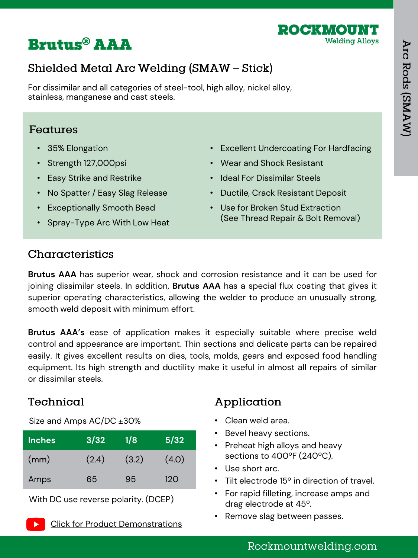

# **Brutus® AAA**

# Shielded Metal Arc Welding (SMAW - Stick)

For dissimilar and all categories of steel-tool, high alloy, nickel alloy, stainless, manganese and cast steels.

#### Features

- 35% Elongation
- Strength 127,000psi
- Easy Strike and Restrike
- No Spatter / Easy Slag Release
- Exceptionally Smooth Bead
- Spray-Type Arc With Low Heat
- Excellent Undercoating For Hardfacing
- Wear and Shock Resistant
- Ideal For Dissimilar Steels
- Ductile, Crack Resistant Deposit
- Use for Broken Stud Extraction (See Thread Repair & Bolt Removal)

#### Characteristics

**Brutus AAA** has superior wear, shock and corrosion resistance and it can be used for joining dissimilar steels. In addition, **Brutus AAA** has a special flux coating that gives it superior operating characteristics, allowing the welder to produce an unusually strong, smooth weld deposit with minimum effort.

**Brutus AAA's** ease of application makes it especially suitable where precise weld control and appearance are important. Thin sections and delicate parts can be repaired easily. It gives excellent results on dies, tools, molds, gears and exposed food handling equipment. Its high strength and ductility make it useful in almost all repairs of similar or dissimilar steels.

### Technical

Size and Amps AC/DC ±30%

| <b>Inches</b> | 3/32  | 1/8   | 5/32  |
|---------------|-------|-------|-------|
| (mm)          | (2.4) | (3.2) | (4.0) |
| Amps          | 65    | 95    | 120   |

With DC use reverse polarity. (DCEP)

# Application

- Clean weld area.
- Bevel heavy sections.
- Preheat high alloys and heavy sections to 400ºF (240ºC).
- Use short arc.
- Tilt electrode 15º in direction of travel.
- For rapid filleting, increase amps and drag electrode at 45º.
- Remove slag between passes.

# Rockmountwelding.com